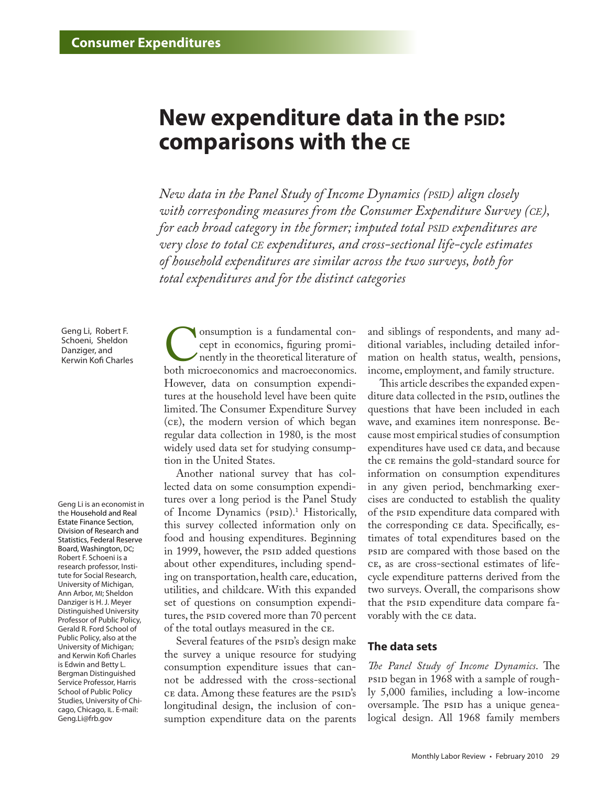## **New expenditure data in the PSID: comparisons with the ce**

*New data in the Panel Study of Income Dynamics (psid) align closely with corresponding measures from the Consumer Expenditure Survey (ce), for each broad category in the former; imputed total PSID expenditures are very close to total ce expenditures, and cross-sectional life-cycle estimates of household expenditures are similar across the two surveys, both for total expenditures and for the distinct categories*

Geng Li, Robert F. Schoeni, Sheldon Danziger, and Kerwin Kofi Charles

Geng Li is an economist in the Household and Real Estate Finance Section, Division of Research and Statistics, Federal Reserve Board, Washington, DC; Robert F. Schoeni is a research professor, Institute for Social Research, University of Michigan, Ann Arbor, MI; Sheldon Danziger is H. J. Meyer Distinguished University Professor of Public Policy, Gerald R. Ford School of Public Policy, also at the University of Michigan; and Kerwin Kofi Charles is Edwin and Betty L. Bergman Distinguished Service Professor, Harris School of Public Policy Studies, University of Chicago, Chicago, IL. E-mail: Geng.Li@frb.gov

Consumption is a fundamental concept in economics, figuring prominently in the theoretical literature of both microeconomics and macroeconomics. cept in economics, figuring prominently in the theoretical literature of However, data on consumption expenditures at the household level have been quite limited. The Consumer Expenditure Survey (ce), the modern version of which began regular data collection in 1980, is the most widely used data set for studying consumption in the United States.

Another national survey that has collected data on some consumption expenditures over a long period is the Panel Study of Income Dynamics (PSID).<sup>1</sup> Historically, this survey collected information only on food and housing expenditures. Beginning in 1999, however, the PSID added questions about other expenditures, including spending on transportation, health care, education, utilities, and childcare. With this expanded set of questions on consumption expenditures, the PSID covered more than 70 percent of the total outlays measured in the ce.

Several features of the psid's design make the survey a unique resource for studying consumption expenditure issues that cannot be addressed with the cross-sectional ce data. Among these features are the PSID's longitudinal design, the inclusion of consumption expenditure data on the parents

and siblings of respondents, and many additional variables, including detailed information on health status, wealth, pensions, income, employment, and family structure.

This article describes the expanded expenditure data collected in the *PSID*, outlines the questions that have been included in each wave, and examines item nonresponse. Because most empirical studies of consumption expenditures have used ce data, and because the ce remains the gold-standard source for information on consumption expenditures in any given period, benchmarking exercises are conducted to establish the quality of the psip expenditure data compared with the corresponding ce data. Specifically, estimates of total expenditures based on the psid are compared with those based on the ce, as are cross-sectional estimates of lifecycle expenditure patterns derived from the two surveys. Overall, the comparisons show that the PSID expenditure data compare favorably with the ce data.

## **The data sets**

*The Panel Study of Income Dynamics*. The psid began in 1968 with a sample of roughly 5,000 families, including a low-income oversample. The psip has a unique genealogical design. All 1968 family members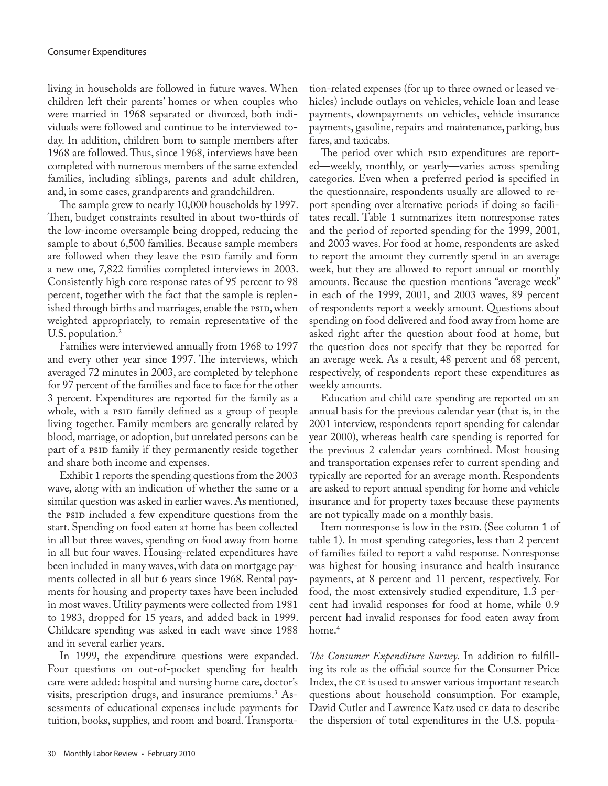living in households are followed in future waves. When children left their parents' homes or when couples who were married in 1968 separated or divorced, both individuals were followed and continue to be interviewed today. In addition, children born to sample members after 1968 are followed. Thus, since 1968, interviews have been completed with numerous members of the same extended families, including siblings, parents and adult children, and, in some cases, grandparents and grandchildren.

The sample grew to nearly 10,000 households by 1997. Then, budget constraints resulted in about two-thirds of the low-income oversample being dropped, reducing the sample to about 6,500 families. Because sample members are followed when they leave the PSID family and form a new one, 7,822 families completed interviews in 2003. Consistently high core response rates of 95 percent to 98 percent, together with the fact that the sample is replenished through births and marriages, enable the PSID, when weighted appropriately, to remain representative of the U.S. population.<sup>2</sup>

Families were interviewed annually from 1968 to 1997 and every other year since 1997. The interviews, which averaged 72 minutes in 2003, are completed by telephone for 97 percent of the families and face to face for the other 3 percent. Expenditures are reported for the family as a whole, with a psip family defined as a group of people living together. Family members are generally related by blood, marriage, or adoption, but unrelated persons can be part of a psip family if they permanently reside together and share both income and expenses.

Exhibit 1 reports the spending questions from the 2003 wave, along with an indication of whether the same or a similar question was asked in earlier waves. As mentioned, the psip included a few expenditure questions from the start. Spending on food eaten at home has been collected in all but three waves, spending on food away from home in all but four waves. Housing-related expenditures have been included in many waves, with data on mortgage payments collected in all but 6 years since 1968. Rental payments for housing and property taxes have been included in most waves. Utility payments were collected from 1981 to 1983, dropped for 15 years, and added back in 1999. Childcare spending was asked in each wave since 1988 and in several earlier years.

In 1999, the expenditure questions were expanded. Four questions on out-of-pocket spending for health care were added: hospital and nursing home care, doctor's visits, prescription drugs, and insurance premiums.3 Assessments of educational expenses include payments for tuition, books, supplies, and room and board. Transporta-

tion-related expenses (for up to three owned or leased vehicles) include outlays on vehicles, vehicle loan and lease payments, downpayments on vehicles, vehicle insurance payments, gasoline, repairs and maintenance, parking, bus fares, and taxicabs.

The period over which psid expenditures are reported—weekly, monthly, or yearly—varies across spending categories. Even when a preferred period is specified in the questionnaire, respondents usually are allowed to report spending over alternative periods if doing so facilitates recall. Table 1 summarizes item nonresponse rates and the period of reported spending for the 1999, 2001, and 2003 waves. For food at home, respondents are asked to report the amount they currently spend in an average week, but they are allowed to report annual or monthly amounts. Because the question mentions "average week" in each of the 1999, 2001, and 2003 waves, 89 percent of respondents report a weekly amount. Questions about spending on food delivered and food away from home are asked right after the question about food at home, but the question does not specify that they be reported for an average week. As a result, 48 percent and 68 percent, respectively, of respondents report these expenditures as weekly amounts.

Education and child care spending are reported on an annual basis for the previous calendar year (that is, in the 2001 interview, respondents report spending for calendar year 2000), whereas health care spending is reported for the previous 2 calendar years combined. Most housing and transportation expenses refer to current spending and typically are reported for an average month. Respondents are asked to report annual spending for home and vehicle insurance and for property taxes because these payments are not typically made on a monthly basis.

Item nonresponse is low in the PSID. (See column 1 of table 1). In most spending categories, less than 2 percent of families failed to report a valid response. Nonresponse was highest for housing insurance and health insurance payments, at 8 percent and 11 percent, respectively. For food, the most extensively studied expenditure, 1.3 percent had invalid responses for food at home, while 0.9 percent had invalid responses for food eaten away from home.<sup>4</sup>

*The Consumer Expenditure Survey*. In addition to fulfilling its role as the official source for the Consumer Price Index, the ce is used to answer various important research questions about household consumption. For example, David Cutler and Lawrence Katz used ce data to describe the dispersion of total expenditures in the U.S. popula-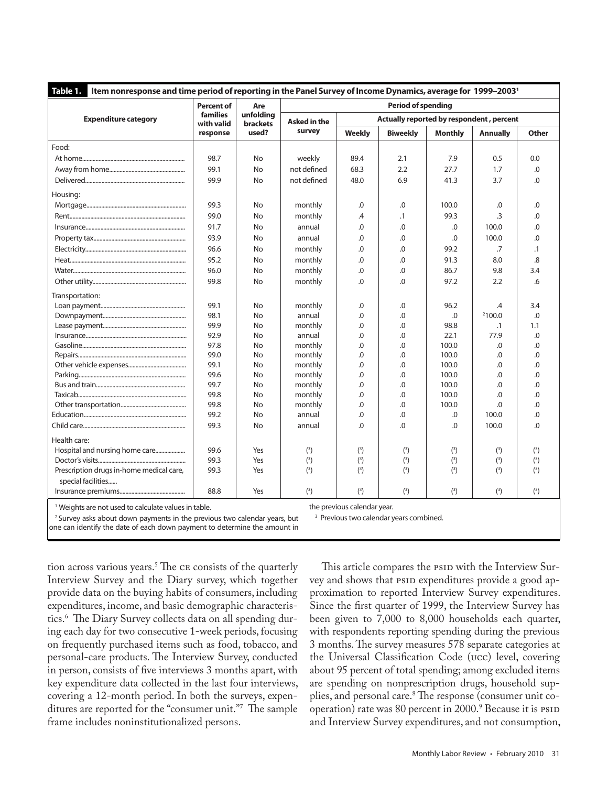| Item nonresponse and time period of reporting in the Panel Survey of Income Dynamics, average for 1999-2003 <sup>1</sup><br>Table 1. |                                      |                                              |                           |                                          |                 |                |                 |              |  |
|--------------------------------------------------------------------------------------------------------------------------------------|--------------------------------------|----------------------------------------------|---------------------------|------------------------------------------|-----------------|----------------|-----------------|--------------|--|
|                                                                                                                                      | Percent of<br>families<br>with valid | Are<br>unfolding<br><b>brackets</b><br>used? | <b>Period of spending</b> |                                          |                 |                |                 |              |  |
| <b>Expenditure category</b>                                                                                                          |                                      |                                              | <b>Asked in the</b>       | Actually reported by respondent, percent |                 |                |                 |              |  |
|                                                                                                                                      | response                             |                                              | survey                    | <b>Weekly</b>                            | <b>Biweekly</b> | <b>Monthly</b> | <b>Annually</b> | <b>Other</b> |  |
| Food:                                                                                                                                |                                      |                                              |                           |                                          |                 |                |                 |              |  |
|                                                                                                                                      | 98.7                                 | No                                           | weekly                    | 89.4                                     | 2.1             | 7.9            | 0.5             | 0.0          |  |
|                                                                                                                                      | 99.1                                 | No                                           | not defined               | 68.3                                     | 2.2             | 27.7           | 1.7             | .0           |  |
|                                                                                                                                      | 99.9                                 | No                                           | not defined               | 48.0                                     | 6.9             | 41.3           | 3.7             | $\Omega$     |  |
| Housing:                                                                                                                             |                                      |                                              |                           |                                          |                 |                |                 |              |  |
|                                                                                                                                      | 99.3                                 | No                                           | monthly                   | .0                                       | .0              | 100.0          | .0              | .0           |  |
|                                                                                                                                      | 99.0                                 | No                                           | monthly                   | $\mathcal{A}$                            | $\cdot$ 1       | 99.3           | .3              | .0           |  |
|                                                                                                                                      | 91.7                                 | No                                           | annual                    | .0                                       | .0              | .0             | 100.0           | 0.           |  |
|                                                                                                                                      | 93.9                                 | No                                           | annual                    | $\Omega$                                 | .0              | .0             | 100.0           | 0.           |  |
|                                                                                                                                      | 96.6                                 | No                                           | monthly                   | .0                                       | 0.              | 99.2           | .7              | $\cdot$ 1    |  |
|                                                                                                                                      | 95.2                                 | No                                           | monthly                   | .0                                       | .0              | 91.3           | 8.0             | .8           |  |
|                                                                                                                                      | 96.0                                 | No                                           | monthly                   | .0                                       | 0.              | 86.7           | 9.8             | 3.4          |  |
|                                                                                                                                      | 99.8                                 | No                                           | monthly                   | .0                                       | $\Omega$ .      | 97.2           | 2.2             | 6.6          |  |
| Transportation:                                                                                                                      |                                      |                                              |                           |                                          |                 |                |                 |              |  |
|                                                                                                                                      | 99.1                                 | No                                           | monthly                   | .0                                       | .0              | 96.2           | .4              | 3.4          |  |
|                                                                                                                                      | 98.1                                 | No                                           | annual                    | $\Omega$ .                               | 0.              | .0             | 2100.0          | .0           |  |
|                                                                                                                                      | 99.9                                 | No                                           | monthly                   | .0                                       | .0              | 98.8           | $\cdot$ 1       | 1.1          |  |
|                                                                                                                                      | 92.9                                 | No                                           | annual                    | $\Omega$                                 | .0              | 22.1           | 77.9            | 0.           |  |
|                                                                                                                                      | 97.8                                 | No                                           | monthly                   | .0                                       | .0              | 100.0          | .0              | .0           |  |
|                                                                                                                                      | 99.0                                 | No                                           | monthly                   | .0                                       | .0              | 100.0          | .0              | $0.$         |  |
|                                                                                                                                      | 99.1                                 | No                                           | monthly                   | .0                                       | 0.              | 100.0          | 0.              | .0           |  |
|                                                                                                                                      | 99.6                                 | No                                           | monthly                   | .0                                       | .0              | 100.0          | .0              | .0           |  |
|                                                                                                                                      | 99.7                                 | No                                           | monthly                   | $\Omega$                                 | .0              | 100.0          | $\Omega$        | $\Omega$     |  |
|                                                                                                                                      | 99.8                                 | No                                           | monthly                   | .0                                       | 0.              | 100.0          | $\Omega$ .      | .0           |  |
|                                                                                                                                      | 99.8                                 | No                                           | monthly                   | .0                                       | .0              | 100.0          | $\Omega$        | .0           |  |
|                                                                                                                                      | 99.2                                 | No                                           | annual                    | .0                                       | .0              | .0             | 100.0           | .0           |  |
|                                                                                                                                      | 99.3                                 | No                                           | annual                    | $\Omega$                                 | 0.              | 0.             | 100.0           | 0.           |  |
| Health care:                                                                                                                         |                                      |                                              |                           |                                          |                 |                |                 |              |  |
|                                                                                                                                      | 99.6                                 | Yes                                          | $(^3)$                    | $(^3)$                                   | $(^3)$          | $(^3)$         | $(^3)$          | $(^3)$       |  |
|                                                                                                                                      | 99.3                                 | Yes                                          | (3)                       | $(^3)$                                   | (3)             | (3)            | $(^3)$          | (3)          |  |
| Prescription drugs in-home medical care,                                                                                             | 99.3                                 | Yes                                          | $(^3)$                    | $(^3)$                                   | $(^3)$          | $(^3)$         | $(^3)$          | $(^3)$       |  |
| special facilities                                                                                                                   |                                      |                                              |                           |                                          |                 |                |                 |              |  |
|                                                                                                                                      | 88.8                                 | Yes                                          | $(^3)$                    | $(^3)$                                   | $(^3)$          | $(^3)$         | $(^3)$          | $(^3)$       |  |
| the provisue calordary.<br>13 A fundados que se a que en alguna de las decidades de las terras de la f                               |                                      |                                              |                           |                                          |                 |                |                 |              |  |

Weights are not used to calculate values in table.

the previous calendar year.

<sup>2</sup> Survey asks about down payments in the previous two calendar years, but

<sup>3</sup> Previous two calendar years combined.

one can identify the date of each down payment to determine the amount in

This article compares the PSID with the Interview Survey and shows that psid expenditures provide a good approximation to reported Interview Survey expenditures. Since the first quarter of 1999, the Interview Survey has been given to 7,000 to 8,000 households each quarter, with respondents reporting spending during the previous 3 months. The survey measures 578 separate categories at the Universal Classification Code (ucc) level, covering about 95 percent of total spending; among excluded items are spending on nonprescription drugs, household supplies, and personal care.8 The response (consumer unit cooperation) rate was 80 percent in 2000.<sup>9</sup> Because it is ps1D and Interview Survey expenditures, and not consumption,

tion across various years.5 The ce consists of the quarterly Interview Survey and the Diary survey, which together provide data on the buying habits of consumers, including expenditures, income, and basic demographic characteristics.6 The Diary Survey collects data on all spending during each day for two consecutive 1-week periods, focusing on frequently purchased items such as food, tobacco, and personal-care products. The Interview Survey, conducted in person, consists of five interviews 3 months apart, with key expenditure data collected in the last four interviews, covering a 12-month period. In both the surveys, expenditures are reported for the "consumer unit."7 The sample frame includes noninstitutionalized persons.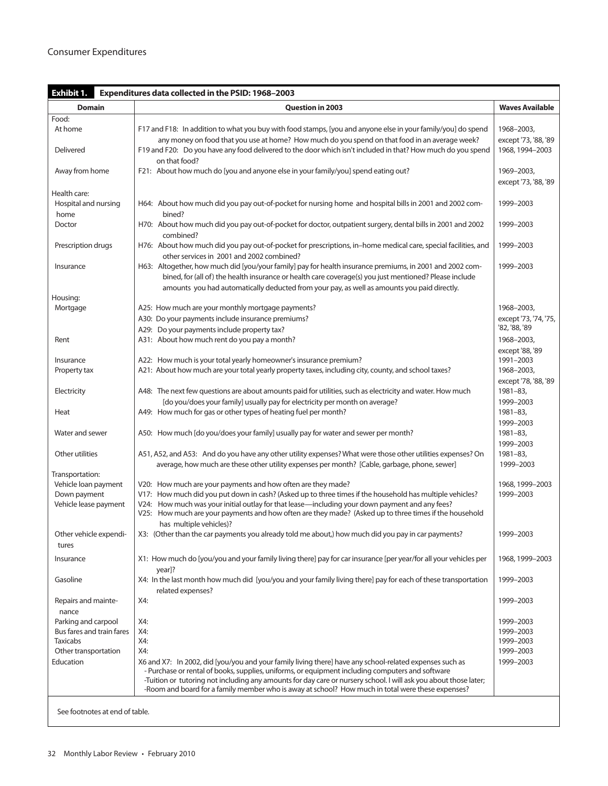| Exhibit 1.<br>Expenditures data collected in the PSID: 1968-2003 |                                                                                                                                                                                                                                                                                                                                                                                                                                      |                                         |  |  |  |
|------------------------------------------------------------------|--------------------------------------------------------------------------------------------------------------------------------------------------------------------------------------------------------------------------------------------------------------------------------------------------------------------------------------------------------------------------------------------------------------------------------------|-----------------------------------------|--|--|--|
| <b>Domain</b>                                                    | <b>Question in 2003</b>                                                                                                                                                                                                                                                                                                                                                                                                              | <b>Waves Available</b>                  |  |  |  |
| Food:                                                            |                                                                                                                                                                                                                                                                                                                                                                                                                                      |                                         |  |  |  |
| At home                                                          | F17 and F18: In addition to what you buy with food stamps, [you and anyone else in your family/you] do spend                                                                                                                                                                                                                                                                                                                         | 1968-2003,                              |  |  |  |
| Delivered                                                        | any money on food that you use at home? How much do you spend on that food in an average week?<br>F19 and F20: Do you have any food delivered to the door which isn't included in that? How much do you spend<br>on that food?                                                                                                                                                                                                       | except '73, '88, '89<br>1968, 1994-2003 |  |  |  |
| Away from home                                                   | F21: About how much do [you and anyone else in your family/you] spend eating out?                                                                                                                                                                                                                                                                                                                                                    | 1969-2003,<br>except '73, '88, '89      |  |  |  |
| Health care:<br>Hospital and nursing<br>home                     | H64: About how much did you pay out-of-pocket for nursing home and hospital bills in 2001 and 2002 com-<br>bined?                                                                                                                                                                                                                                                                                                                    | 1999-2003                               |  |  |  |
| Doctor                                                           | H70: About how much did you pay out-of-pocket for doctor, outpatient surgery, dental bills in 2001 and 2002<br>combined?                                                                                                                                                                                                                                                                                                             | 1999-2003                               |  |  |  |
| Prescription drugs                                               | H76: About how much did you pay out-of-pocket for prescriptions, in-home medical care, special facilities, and<br>other services in 2001 and 2002 combined?                                                                                                                                                                                                                                                                          | 1999-2003                               |  |  |  |
| Insurance                                                        | H63: Altogether, how much did [you/your family] pay for health insurance premiums, in 2001 and 2002 com-<br>bined, for (all of) the health insurance or health care coverage(s) you just mentioned? Please include<br>amounts you had automatically deducted from your pay, as well as amounts you paid directly.                                                                                                                    | 1999-2003                               |  |  |  |
| Housing:                                                         |                                                                                                                                                                                                                                                                                                                                                                                                                                      |                                         |  |  |  |
| Mortgage                                                         | A25: How much are your monthly mortgage payments?                                                                                                                                                                                                                                                                                                                                                                                    | 1968-2003,                              |  |  |  |
|                                                                  | A30: Do your payments include insurance premiums?                                                                                                                                                                                                                                                                                                                                                                                    | except '73, '74, '75,<br>'82, '88, '89  |  |  |  |
| Rent                                                             | A29: Do your payments include property tax?<br>A31: About how much rent do you pay a month?                                                                                                                                                                                                                                                                                                                                          | 1968-2003,                              |  |  |  |
| Insurance                                                        | A22: How much is your total yearly homeowner's insurance premium?                                                                                                                                                                                                                                                                                                                                                                    | except '88, '89<br>1991-2003            |  |  |  |
| Property tax                                                     | A21: About how much are your total yearly property taxes, including city, county, and school taxes?                                                                                                                                                                                                                                                                                                                                  | 1968-2003,                              |  |  |  |
| Electricity                                                      | A48: The next few questions are about amounts paid for utilities, such as electricity and water. How much                                                                                                                                                                                                                                                                                                                            | except '78, '88, '89<br>1981-83,        |  |  |  |
| Heat                                                             | [do you/does your family] usually pay for electricity per month on average?<br>A49: How much for gas or other types of heating fuel per month?                                                                                                                                                                                                                                                                                       | 1999-2003<br>1981-83,                   |  |  |  |
| Water and sewer                                                  | A50: How much [do you/does your family] usually pay for water and sewer per month?                                                                                                                                                                                                                                                                                                                                                   | 1999-2003<br>$1981 - 83$<br>1999-2003   |  |  |  |
| Other utilities                                                  | A51, A52, and A53: And do you have any other utility expenses? What were those other utilities expenses? On                                                                                                                                                                                                                                                                                                                          | 1981-83,                                |  |  |  |
|                                                                  | average, how much are these other utility expenses per month? [Cable, garbage, phone, sewer]                                                                                                                                                                                                                                                                                                                                         | 1999-2003                               |  |  |  |
| Transportation:                                                  |                                                                                                                                                                                                                                                                                                                                                                                                                                      |                                         |  |  |  |
| Vehicle loan payment<br>Down payment<br>Vehicle lease payment    | V20: How much are your payments and how often are they made?<br>V17: How much did you put down in cash? (Asked up to three times if the household has multiple vehicles?<br>V24: How much was your initial outlay for that lease—including your down payment and any fees?                                                                                                                                                           | 1968, 1999-2003<br>1999-2003            |  |  |  |
|                                                                  | V25: How much are your payments and how often are they made? (Asked up to three times if the household<br>has multiple vehicles)?                                                                                                                                                                                                                                                                                                    |                                         |  |  |  |
| Other vehicle expendi-                                           | X3: (Other than the car payments you already told me about,) how much did you pay in car payments?                                                                                                                                                                                                                                                                                                                                   | 1999-2003                               |  |  |  |
| tures                                                            |                                                                                                                                                                                                                                                                                                                                                                                                                                      |                                         |  |  |  |
| Insurance                                                        | X1: How much do [you/you and your family living there] pay for car insurance [per year/for all your vehicles per<br>year]?                                                                                                                                                                                                                                                                                                           | 1968, 1999-2003                         |  |  |  |
| Gasoline                                                         | X4: In the last month how much did [you/you and your family living there] pay for each of these transportation<br>related expenses?                                                                                                                                                                                                                                                                                                  | 1999-2003                               |  |  |  |
| Repairs and mainte-<br>nance                                     | X4:                                                                                                                                                                                                                                                                                                                                                                                                                                  | 1999-2003                               |  |  |  |
| Parking and carpool                                              | X4:                                                                                                                                                                                                                                                                                                                                                                                                                                  | 1999-2003                               |  |  |  |
| Bus fares and train fares                                        | X4:                                                                                                                                                                                                                                                                                                                                                                                                                                  | 1999-2003                               |  |  |  |
| <b>Taxicabs</b>                                                  | X4:                                                                                                                                                                                                                                                                                                                                                                                                                                  | 1999-2003                               |  |  |  |
| Other transportation                                             | X4:                                                                                                                                                                                                                                                                                                                                                                                                                                  | 1999-2003                               |  |  |  |
| Education                                                        | X6 and X7: In 2002, did [you/you and your family living there] have any school-related expenses such as<br>- Purchase or rental of books, supplies, uniforms, or equipment including computers and software<br>-Tuition or tutoring not including any amounts for day care or nursery school. I will ask you about those later;<br>-Room and board for a family member who is away at school? How much in total were these expenses? | 1999-2003                               |  |  |  |
| See footnotes at end of table.                                   |                                                                                                                                                                                                                                                                                                                                                                                                                                      |                                         |  |  |  |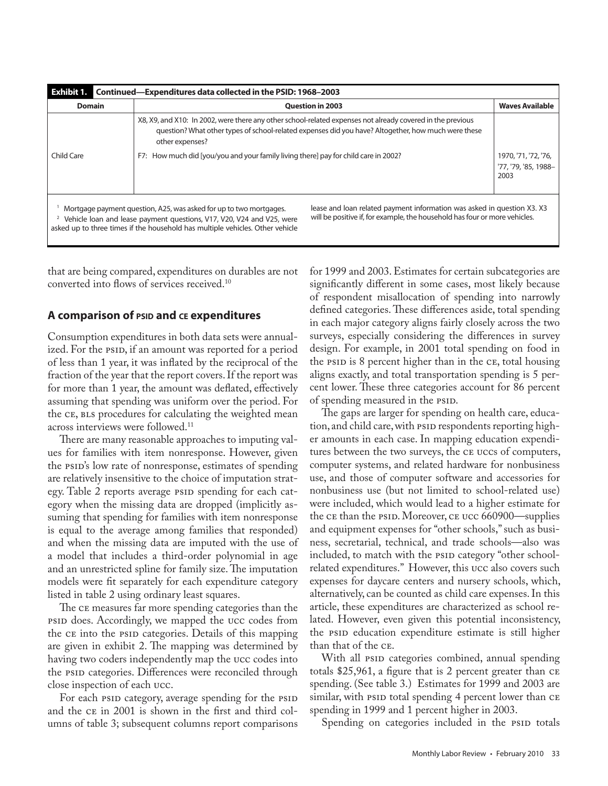| Exhibit 1.<br>Continued-Expenditures data collected in the PSID: 1968-2003                                                                                                                                                                                                                                                                                                                                 |                                                                                                                                                                                                                                                                                                                             |                                              |  |  |  |  |
|------------------------------------------------------------------------------------------------------------------------------------------------------------------------------------------------------------------------------------------------------------------------------------------------------------------------------------------------------------------------------------------------------------|-----------------------------------------------------------------------------------------------------------------------------------------------------------------------------------------------------------------------------------------------------------------------------------------------------------------------------|----------------------------------------------|--|--|--|--|
| <b>Domain</b>                                                                                                                                                                                                                                                                                                                                                                                              | <b>Question in 2003</b><br><b>Waves Available</b>                                                                                                                                                                                                                                                                           |                                              |  |  |  |  |
| Child Care                                                                                                                                                                                                                                                                                                                                                                                                 | X8, X9, and X10: In 2002, were there any other school-related expenses not already covered in the previous<br>guestion? What other types of school-related expenses did you have? Altogether, how much were these<br>other expenses?<br>F7: How much did [you/you and your family living there] pay for child care in 2002? | 1970, '71, '72, '76,<br>'77, '79, '85, 1988- |  |  |  |  |
| 2003<br>lease and loan related payment information was asked in question X3, X3<br>Mortgage payment question, A25, was asked for up to two mortgages.<br>will be positive if, for example, the household has four or more vehicles.<br><sup>2</sup> Vehicle loan and lease payment questions, V17, V20, V24 and V25, were<br>asked up to three times if the household has multiple vehicles. Other vehicle |                                                                                                                                                                                                                                                                                                                             |                                              |  |  |  |  |

that are being compared, expenditures on durables are not converted into flows of services received.10

## **A comparison of psid and ce expenditures**

Consumption expenditures in both data sets were annualized. For the psip, if an amount was reported for a period of less than 1 year, it was inflated by the reciprocal of the fraction of the year that the report covers. If the report was for more than 1 year, the amount was deflated, effectively assuming that spending was uniform over the period. For the CE, BLS procedures for calculating the weighted mean across interviews were followed.<sup>11</sup>

There are many reasonable approaches to imputing values for families with item nonresponse. However, given the psid's low rate of nonresponse, estimates of spending are relatively insensitive to the choice of imputation strategy. Table 2 reports average psip spending for each category when the missing data are dropped (implicitly assuming that spending for families with item nonresponse is equal to the average among families that responded) and when the missing data are imputed with the use of a model that includes a third-order polynomial in age and an unrestricted spline for family size. The imputation models were fit separately for each expenditure category listed in table 2 using ordinary least squares.

The ce measures far more spending categories than the psid does. Accordingly, we mapped the ucc codes from the ce into the psid categories. Details of this mapping are given in exhibit 2. The mapping was determined by having two coders independently map the ucc codes into the psid categories. Differences were reconciled through close inspection of each ucc.

For each psid category, average spending for the psid and the ce in 2001 is shown in the first and third columns of table 3; subsequent columns report comparisons for 1999 and 2003. Estimates for certain subcategories are significantly different in some cases, most likely because of respondent misallocation of spending into narrowly defined categories. These differences aside, total spending in each major category aligns fairly closely across the two surveys, especially considering the differences in survey design. For example, in 2001 total spending on food in the PSID is 8 percent higher than in the CE, total housing aligns exactly, and total transportation spending is 5 percent lower. These three categories account for 86 percent of spending measured in the *PSID*.

The gaps are larger for spending on health care, education, and child care, with psid respondents reporting higher amounts in each case. In mapping education expenditures between the two surveys, the ce uccs of computers, computer systems, and related hardware for nonbusiness use, and those of computer software and accessories for nonbusiness use (but not limited to school-related use) were included, which would lead to a higher estimate for the ce than the psid. Moreover, ce ucc 660900—supplies and equipment expenses for "other schools," such as business, secretarial, technical, and trade schools—also was included, to match with the PSID category "other schoolrelated expenditures." However, this ucc also covers such expenses for daycare centers and nursery schools, which, alternatively, can be counted as child care expenses. In this article, these expenditures are characterized as school related. However, even given this potential inconsistency, the PSID education expenditure estimate is still higher than that of the ce.

With all psip categories combined, annual spending totals \$25,961, a figure that is 2 percent greater than ce spending. (See table 3.) Estimates for 1999 and 2003 are similar, with psip total spending 4 percent lower than CE spending in 1999 and 1 percent higher in 2003.

Spending on categories included in the PSID totals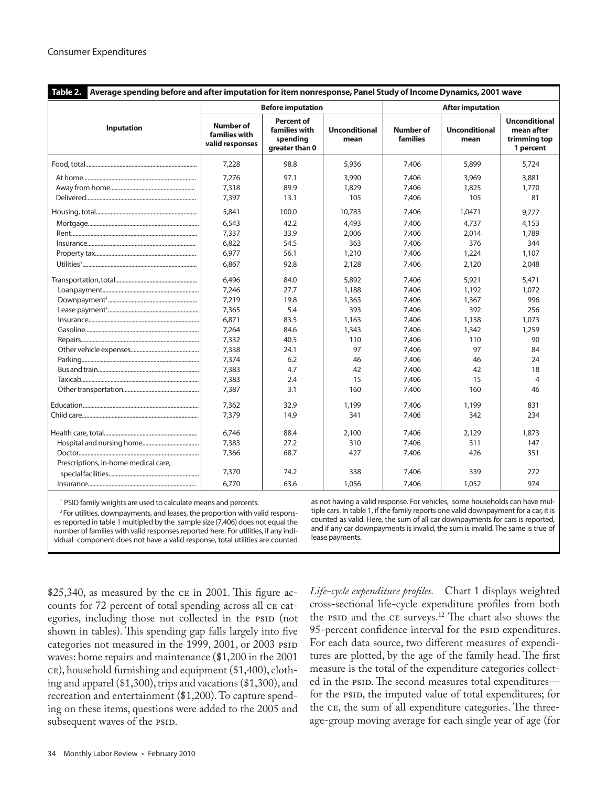| Table 2.<br>Average spending before and after imputation for item nonresponse, Panel Study of Income Dynamics, 2001 wave |                                                      |                                                                  |                              |                              |                              |                                                                 |  |
|--------------------------------------------------------------------------------------------------------------------------|------------------------------------------------------|------------------------------------------------------------------|------------------------------|------------------------------|------------------------------|-----------------------------------------------------------------|--|
|                                                                                                                          |                                                      | <b>Before imputation</b>                                         |                              | <b>After imputation</b>      |                              |                                                                 |  |
| Inputation                                                                                                               | <b>Number of</b><br>families with<br>valid responses | <b>Percent of</b><br>families with<br>spending<br>greater than 0 | <b>Unconditional</b><br>mean | <b>Number of</b><br>families | <b>Unconditional</b><br>mean | <b>Unconditional</b><br>mean after<br>trimming top<br>1 percent |  |
|                                                                                                                          | 7,228                                                | 98.8                                                             | 5,936                        | 7,406                        | 5,899                        | 5,724                                                           |  |
|                                                                                                                          | 7,276                                                | 97.1                                                             | 3,990                        | 7,406                        | 3,969                        | 3,881                                                           |  |
|                                                                                                                          | 7,318                                                | 89.9                                                             | 1,829                        | 7,406                        | 1,825                        | 1,770                                                           |  |
|                                                                                                                          | 7,397                                                | 13.1                                                             | 105                          | 7,406                        | 105                          | 81                                                              |  |
|                                                                                                                          | 5,841                                                | 100.0                                                            | 10,783                       | 7,406                        | 1,0471                       | 9,777                                                           |  |
|                                                                                                                          | 6,543                                                | 42.2                                                             | 4.493                        | 7,406                        | 4,737                        | 4,153                                                           |  |
|                                                                                                                          | 7.337                                                | 33.9                                                             | 2,006                        | 7.406                        | 2.014                        | 1,789                                                           |  |
|                                                                                                                          | 6,822                                                | 54.5                                                             | 363                          | 7,406                        | 376                          | 344                                                             |  |
|                                                                                                                          | 6,977                                                | 56.1                                                             | 1,210                        | 7,406                        | 1,224                        | 1,107                                                           |  |
|                                                                                                                          | 6,867                                                | 92.8                                                             | 2,128                        | 7,406                        | 2,120                        | 2,048                                                           |  |
|                                                                                                                          | 6,496                                                | 84.0                                                             | 5,892                        | 7,406                        | 5,921                        | 5,471                                                           |  |
|                                                                                                                          | 7,246                                                | 27.7                                                             | 1,188                        | 7,406                        | 1,192                        | 1,072                                                           |  |
|                                                                                                                          | 7,219                                                | 19.8                                                             | 1,363                        | 7,406                        | 1,367                        | 996                                                             |  |
|                                                                                                                          | 7.365                                                | 5.4                                                              | 393                          | 7,406                        | 392                          | 256                                                             |  |
|                                                                                                                          | 6,871                                                | 83.5                                                             | 1,163                        | 7,406                        | 1,158                        | 1,073                                                           |  |
|                                                                                                                          | 7,264                                                | 84.6                                                             | 1,343                        | 7,406                        | 1,342                        | 1,259                                                           |  |
|                                                                                                                          | 7,332                                                | 40.5                                                             | 110                          | 7,406                        | 110                          | 90                                                              |  |
|                                                                                                                          | 7,338                                                | 24.1                                                             | 97                           | 7,406                        | 97                           | 84                                                              |  |
|                                                                                                                          | 7,374                                                | 6.2                                                              | 46                           | 7,406                        | 46                           | 24                                                              |  |
|                                                                                                                          | 7,383                                                | 4.7                                                              | 42                           | 7,406                        | 42                           | 18                                                              |  |
|                                                                                                                          | 7,383                                                | 2.4                                                              | 15                           | 7,406                        | 15                           | $\overline{4}$                                                  |  |
|                                                                                                                          | 7,387                                                | 3.1                                                              | 160                          | 7,406                        | 160                          | 46                                                              |  |
|                                                                                                                          | 7,362                                                | 32.9                                                             | 1,199                        | 7,406                        | 1,199                        | 831                                                             |  |
|                                                                                                                          | 7,379                                                | 14.9                                                             | 341                          | 7,406                        | 342                          | 234                                                             |  |
|                                                                                                                          | 6.746                                                | 88.4                                                             | 2,100                        | 7,406                        | 2,129                        | 1,873                                                           |  |
|                                                                                                                          | 7,383                                                | 27.2                                                             | 310                          | 7,406                        | 311                          | 147                                                             |  |
|                                                                                                                          | 7,366                                                | 68.7                                                             | 427                          | 7,406                        | 426                          | 351                                                             |  |
| Prescriptions, in-home medical care,                                                                                     |                                                      |                                                                  |                              |                              |                              |                                                                 |  |
|                                                                                                                          | 7,370                                                | 74.2                                                             | 338                          | 7,406                        | 339                          | 272                                                             |  |
|                                                                                                                          | 6,770                                                | 63.6                                                             | 1,056                        | 7,406                        | 1,052                        | 974                                                             |  |

<sup>1</sup> PSID family weights are used to calculate means and percents.

<sup>2</sup> For utilities, downpayments, and leases, the proportion with valid responses reported in table 1 multipled by the sample size (7,406) does not equal the number of families with valid responses reported here. For utilities, if any individual component does not have a valid response, total utilities are counted as not having a valid response. For vehicles, some households can have multiple cars. In table 1, if the family reports one valid downpayment for a car, it is counted as valid. Here, the sum of all car downpayments for cars is reported, and if any car downpayments is invalid, the sum is invalid. The same is true of lease payments.

\$25,340, as measured by the ce in 2001. This figure accounts for 72 percent of total spending across all ce categories, including those not collected in the PSID (not shown in tables). This spending gap falls largely into five categories not measured in the 1999, 2001, or 2003 PSID waves: home repairs and maintenance (\$1,200 in the 2001 ce), household furnishing and equipment (\$1,400), clothing and apparel (\$1,300), trips and vacations (\$1,300), and recreation and entertainment (\$1,200). To capture spending on these items, questions were added to the 2005 and subsequent waves of the PSID.

*Life-cycle expenditure profiles.* Chart 1 displays weighted cross-sectional life-cycle expenditure profiles from both the PSID and the CE surveys.<sup>12</sup> The chart also shows the 95-percent confidence interval for the PSID expenditures. For each data source, two different measures of expenditures are plotted, by the age of the family head. The first measure is the total of the expenditure categories collected in the PSID. The second measures total expendituresfor the psid, the imputed value of total expenditures; for the ce, the sum of all expenditure categories. The threeage-group moving average for each single year of age (for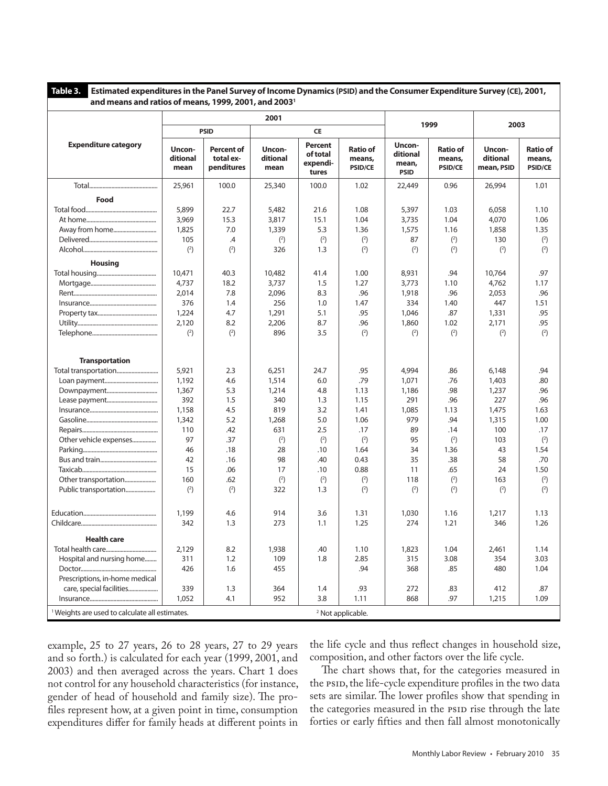**Table 3. Estimated expenditures in the Panel Survey of Income Dynamics (PSID) and the Consumer Expenditure Survey (CE), 2001, and means and ratios of means, 1999, 2001, and 20031**

| <u>and means and ratios of means, 1999, 2001, and 2003</u> |                            |                                              |                            |                                          |                                             |                                            |                                             |                                  |                                             |
|------------------------------------------------------------|----------------------------|----------------------------------------------|----------------------------|------------------------------------------|---------------------------------------------|--------------------------------------------|---------------------------------------------|----------------------------------|---------------------------------------------|
|                                                            | 2001                       |                                              |                            |                                          |                                             | 1999                                       |                                             | 2003                             |                                             |
|                                                            | <b>PSID</b>                |                                              | CE                         |                                          |                                             |                                            |                                             |                                  |                                             |
| <b>Expenditure category</b>                                | Uncon-<br>ditional<br>mean | <b>Percent of</b><br>total ex-<br>penditures | Uncon-<br>ditional<br>mean | Percent<br>of total<br>expendi-<br>tures | <b>Ratio of</b><br>means,<br><b>PSID/CE</b> | Uncon-<br>ditional<br>mean,<br><b>PSID</b> | <b>Ratio of</b><br>means,<br><b>PSID/CE</b> | Uncon-<br>ditional<br>mean, PSID | <b>Ratio of</b><br>means,<br><b>PSID/CE</b> |
|                                                            | 25,961                     | 100.0                                        | 25,340                     | 100.0                                    | 1.02                                        | 22,449                                     | 0.96                                        | 26,994                           | 1.01                                        |
| Food                                                       |                            |                                              |                            |                                          |                                             |                                            |                                             |                                  |                                             |
|                                                            | 5,899                      | 22.7                                         | 5,482                      | 21.6                                     | 1.08                                        | 5,397                                      | 1.03                                        | 6,058                            | 1.10                                        |
|                                                            | 3,969                      | 15.3                                         | 3,817                      | 15.1                                     | 1.04                                        | 3,735                                      | 1.04                                        | 4,070                            | 1.06                                        |
|                                                            | 1,825                      | 7.0                                          | 1,339                      | 5.3                                      | 1.36                                        | 1,575                                      | 1.16                                        | 1,858                            | 1.35                                        |
|                                                            | 105                        | $\mathcal{A}$                                | $\binom{2}{ }$             | $\binom{2}{ }$                           | (2)                                         | 87                                         | $\binom{2}{ }$                              | 130                              | $\binom{2}{ }$                              |
|                                                            | (2)                        | (2)                                          | 326                        | 1.3                                      | (2)                                         | (2)                                        | (2)                                         | (2)                              | $\binom{2}{ }$                              |
| <b>Housing</b>                                             |                            |                                              |                            |                                          |                                             |                                            |                                             |                                  |                                             |
|                                                            | 10,471                     | 40.3                                         | 10,482                     | 41.4                                     | 1.00                                        | 8,931                                      | .94                                         | 10,764                           | .97                                         |
|                                                            | 4,737                      | 18.2                                         | 3,737                      | 1.5                                      | 1.27                                        | 3,773                                      | 1.10                                        | 4,762                            | 1.17                                        |
|                                                            | 2,014                      | 7.8                                          | 2,096                      | 8.3                                      | .96                                         | 1,918                                      | .96                                         | 2,053                            | .96                                         |
|                                                            | 376                        | 1.4                                          | 256                        | 1.0                                      | 1.47                                        | 334                                        | 1.40                                        | 447                              | 1.51                                        |
|                                                            | 1,224                      | 4.7                                          | 1,291                      | 5.1                                      | .95                                         | 1.046                                      | .87                                         | 1,331                            | .95                                         |
|                                                            | 2,120                      | 8.2                                          | 2,206                      | 8.7                                      | .96                                         | 1,860                                      | 1.02                                        | 2,171                            | .95                                         |
|                                                            | $\binom{2}{ }$             | $\binom{2}{ }$                               | 896                        | 3.5                                      | $\binom{2}{ }$                              | $\binom{2}{ }$                             | $\binom{2}{ }$                              | $\binom{2}{ }$                   | $\binom{2}{ }$                              |
| <b>Transportation</b>                                      |                            |                                              |                            |                                          |                                             |                                            |                                             |                                  |                                             |
|                                                            | 5,921                      | 2.3                                          | 6,251                      | 24.7                                     | .95                                         | 4,994                                      | .86                                         | 6,148                            | .94                                         |
|                                                            | 1,192                      | 4.6                                          | 1,514                      | 6.0                                      | .79                                         | 1,071                                      | .76                                         | 1,403                            | .80                                         |
|                                                            | 1,367                      | 5.3                                          | 1,214                      | 4.8                                      | 1.13                                        | 1,186                                      | .98                                         | 1,237                            | .96                                         |
|                                                            | 392                        | 1.5                                          | 340                        | 1.3                                      | 1.15                                        | 291                                        | .96                                         | 227                              | .96                                         |
|                                                            | 1,158                      | 4.5                                          | 819                        | 3.2                                      | 1.41                                        | 1,085                                      | 1.13                                        | 1,475                            | 1.63                                        |
|                                                            | 1,342                      | 5.2                                          | 1,268                      | 5.0                                      | 1.06                                        | 979                                        | .94                                         | 1,315                            | 1.00                                        |
|                                                            | 110                        | .42                                          | 631                        | 2.5                                      | .17                                         | 89                                         | .14                                         | 100                              | .17                                         |
| Other vehicle expenses                                     | 97                         | .37                                          | $^{(2)}$                   | $\binom{2}{ }$                           | (2)                                         | 95                                         | $\binom{2}{ }$                              | 103                              | $\binom{2}{ }$                              |
|                                                            | 46                         | .18                                          | 28                         | .10                                      | 1.64                                        | 34                                         | 1.36                                        | 43                               | 1.54                                        |
|                                                            | 42                         | .16                                          | 98                         | .40                                      | 0.43                                        | 35                                         | .38                                         | 58                               | .70                                         |
|                                                            | 15                         | .06                                          | 17                         | .10                                      | 0.88                                        | 11                                         | .65                                         | 24                               | 1.50                                        |
| Other transportation                                       | 160                        | .62                                          | $^{(2)}$                   | $\binom{2}{ }$                           | $\binom{2}{ }$                              | 118                                        | (2)                                         | 163                              | $\binom{2}{ }$                              |
| Public transportation                                      | (2)                        | (2)                                          | 322                        | 1.3                                      | (2)                                         | (2)                                        | (2)                                         | (2)                              | $\binom{2}{ }$                              |
|                                                            |                            |                                              |                            |                                          |                                             |                                            |                                             |                                  |                                             |
|                                                            | 1,199                      | 4.6                                          | 914                        | 3.6                                      | 1.31                                        | 1,030                                      | 1.16                                        | 1,217                            | 1.13                                        |
|                                                            | 342                        | 1.3                                          | 273                        | 1.1                                      | 1.25                                        | 274                                        | 1.21                                        | 346                              | 1.26                                        |
|                                                            |                            |                                              |                            |                                          |                                             |                                            |                                             |                                  |                                             |
| <b>Health care</b>                                         |                            |                                              |                            |                                          |                                             |                                            |                                             |                                  |                                             |
|                                                            | 2,129                      | 8.2                                          | 1,938                      | .40                                      | 1.10                                        | 1,823                                      | 1.04                                        | 2,461                            | 1.14                                        |
| Hospital and nursing home                                  | 311                        | 1.2                                          | 109                        | 1.8                                      | 2.85                                        | 315                                        | 3.08                                        | 354                              | 3.03                                        |
|                                                            | 426                        | 1.6                                          | 455                        |                                          | .94                                         | 368                                        | .85                                         | 480                              | 1.04                                        |
| Prescriptions, in-home medical                             |                            |                                              |                            |                                          |                                             |                                            |                                             |                                  |                                             |
|                                                            | 339                        | 1.3                                          | 364                        | 1.4                                      | .93                                         | 272                                        | .83                                         | 412                              | .87                                         |
|                                                            | 1,052                      | 4.1                                          | 952                        | 3.8                                      | 1.11                                        | 868                                        | .97                                         | 1,215                            | 1.09                                        |
| <sup>1</sup> Weights are used to calculate all estimates.  |                            |                                              |                            |                                          | <sup>2</sup> Not applicable.                |                                            |                                             |                                  |                                             |

example, 25 to 27 years, 26 to 28 years, 27 to 29 years and so forth.) is calculated for each year (1999, 2001, and 2003) and then averaged across the years. Chart 1 does not control for any household characteristics (for instance, gender of head of household and family size). The profiles represent how, at a given point in time, consumption expenditures differ for family heads at different points in

the life cycle and thus reflect changes in household size, composition, and other factors over the life cycle.

The chart shows that, for the categories measured in the PSID, the life-cycle expenditure profiles in the two data sets are similar. The lower profiles show that spending in the categories measured in the PSID rise through the late forties or early fifties and then fall almost monotonically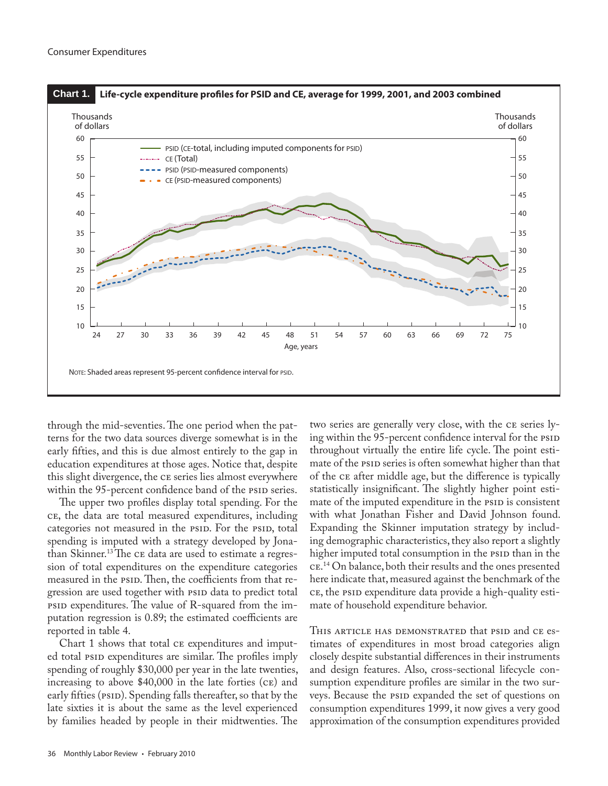

through the mid-seventies. The one period when the patterns for the two data sources diverge somewhat is in the early fifties, and this is due almost entirely to the gap in education expenditures at those ages. Notice that, despite this slight divergence, the ce series lies almost everywhere within the 95-percent confidence band of the PSID series.

The upper two profiles display total spending. For the ce, the data are total measured expenditures, including categories not measured in the psid. For the psid, total spending is imputed with a strategy developed by Jonathan Skinner.13 The ce data are used to estimate a regression of total expenditures on the expenditure categories measured in the psip. Then, the coefficients from that regression are used together with PSID data to predict total psid expenditures. The value of R-squared from the imputation regression is 0.89; the estimated coefficients are reported in table 4.

Chart 1 shows that total ce expenditures and imputed total psip expenditures are similar. The profiles imply spending of roughly \$30,000 per year in the late twenties, increasing to above \$40,000 in the late forties (ce) and early fifties (PSID). Spending falls thereafter, so that by the late sixties it is about the same as the level experienced by families headed by people in their midtwenties. The

two series are generally very close, with the ce series lying within the 95-percent confidence interval for the PSID throughout virtually the entire life cycle. The point estimate of the psip series is often somewhat higher than that of the ce after middle age, but the difference is typically statistically insignificant. The slightly higher point estimate of the imputed expenditure in the PSID is consistent with what Jonathan Fisher and David Johnson found. Expanding the Skinner imputation strategy by including demographic characteristics, they also report a slightly higher imputed total consumption in the psip than in the ce. 14 On balance, both their results and the ones presented here indicate that, measured against the benchmark of the ce, the psid expenditure data provide a high-quality estimate of household expenditure behavior.

THIS ARTICLE HAS DEMONSTRATED that PSID and CE estimates of expenditures in most broad categories align closely despite substantial differences in their instruments and design features. Also, cross-sectional lifecycle consumption expenditure profiles are similar in the two surveys. Because the PSID expanded the set of questions on consumption expenditures 1999, it now gives a very good approximation of the consumption expenditures provided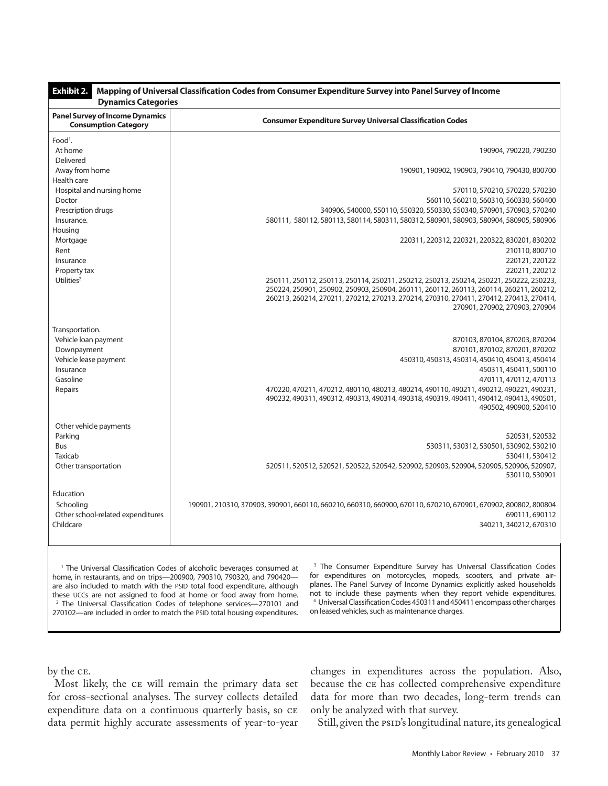| <b>Exhibit 2.</b><br>Mapping of Universal Classification Codes from Consumer Expenditure Survey into Panel Survey of Income<br><b>Dynamics Categories</b> |                                                                                                                                                                                                                                                                                                                                                              |  |  |  |
|-----------------------------------------------------------------------------------------------------------------------------------------------------------|--------------------------------------------------------------------------------------------------------------------------------------------------------------------------------------------------------------------------------------------------------------------------------------------------------------------------------------------------------------|--|--|--|
| <b>Panel Survey of Income Dynamics</b><br><b>Consumption Category</b>                                                                                     | <b>Consumer Expenditure Survey Universal Classification Codes</b>                                                                                                                                                                                                                                                                                            |  |  |  |
| Food <sup>1</sup> .<br>At home                                                                                                                            | 190904, 790220, 790230                                                                                                                                                                                                                                                                                                                                       |  |  |  |
| Delivered<br>Away from home                                                                                                                               | 190901, 190902, 190903, 790410, 790430, 800700                                                                                                                                                                                                                                                                                                               |  |  |  |
| Health care<br>Hospital and nursing home<br>Doctor                                                                                                        | 570110, 570210, 570220, 570230<br>560110, 560210, 560310, 560330, 560400                                                                                                                                                                                                                                                                                     |  |  |  |
| Prescription drugs<br>Insurance.                                                                                                                          | 340906, 540000, 550110, 550320, 550330, 550340, 570901, 570903, 570240<br>580111, 580112, 580113, 580114, 580311, 580312, 580901, 580903, 580904, 580905, 580906                                                                                                                                                                                             |  |  |  |
| Housing<br>Mortgage<br>Rent<br>Insurance<br>Property tax                                                                                                  | 220311, 220312, 220321, 220322, 830201, 830202<br>210110, 800710<br>220121, 220122<br>220211, 220212                                                                                                                                                                                                                                                         |  |  |  |
| Utilities <sup>2</sup>                                                                                                                                    | 250111, 250112, 250113, 250114, 250211, 250212, 250213, 250214, 250221, 250222, 250223,<br>250224, 250901, 250902, 250903, 250904, 260111, 260112, 260113, 260114, 260211, 260212,<br>260213, 260214, 270211, 270212, 270213, 270214, 270310, 270411, 270412, 270413, 270414,<br>270901, 270902, 270903, 270904                                              |  |  |  |
| Transportation.<br>Vehicle loan payment<br>Downpayment<br>Vehicle lease payment<br>Insurance<br>Gasoline<br>Repairs                                       | 870103, 870104, 870203, 870204<br>870101, 870102, 870201, 870202<br>450310, 450313, 450314, 450410, 450413, 450414<br>450311, 450411, 500110<br>470111, 470112, 470113<br>470220, 470211, 470212, 480110, 480213, 480214, 490110, 490211, 490212, 490221, 490231,<br>490232, 490311, 490312, 490313, 490314, 490318, 490319, 490411, 490412, 490413, 490501, |  |  |  |
| Other vehicle payments                                                                                                                                    | 490502, 490900, 520410                                                                                                                                                                                                                                                                                                                                       |  |  |  |
| Parking<br>Bus<br>Taxicab<br>Other transportation                                                                                                         | 520531, 520532<br>530311, 530312, 530501, 530902, 530210<br>530411, 530412<br>520511, 520512, 520521, 520522, 520542, 520902, 520903, 520904, 520905, 520906, 520907,                                                                                                                                                                                        |  |  |  |
| Education                                                                                                                                                 | 530110, 530901                                                                                                                                                                                                                                                                                                                                               |  |  |  |
| Schooling<br>Other school-related expenditures<br>Childcare                                                                                               | 190901, 210310, 370903, 390901, 660110, 660210, 660310, 660900, 670110, 670210, 670901, 670902, 800802, 800804<br>690111,690112<br>340211, 340212, 670310                                                                                                                                                                                                    |  |  |  |
|                                                                                                                                                           |                                                                                                                                                                                                                                                                                                                                                              |  |  |  |

<sup>1</sup> The Universal Classification Codes of alcoholic beverages consumed at home, in restaurants, and on trips—200900, 790310, 790320, and 790420 are also included to match with the PSID total food expenditure, although these UCCs are not assigned to food at home or food away from home. <sup>2</sup> The Universal Classification Codes of telephone services-270101 and 270102—are included in order to match the PSID total housing expenditures.

<sup>3</sup> The Consumer Expenditure Survey has Universal Classification Codes for expenditures on motorcycles, mopeds, scooters, and private airplanes. The Panel Survey of Income Dynamics explicitly asked households not to include these payments when they report vehicle expenditures. 4 Universal Classification Codes 450311 and 450411 encompass other charges on leased vehicles, such as maintenance charges.

by the ce.

Most likely, the ce will remain the primary data set for cross-sectional analyses. The survey collects detailed expenditure data on a continuous quarterly basis, so ce data permit highly accurate assessments of year-to-year changes in expenditures across the population. Also, because the ce has collected comprehensive expenditure data for more than two decades, long-term trends can only be analyzed with that survey.

Still, given the PSID's longitudinal nature, its genealogical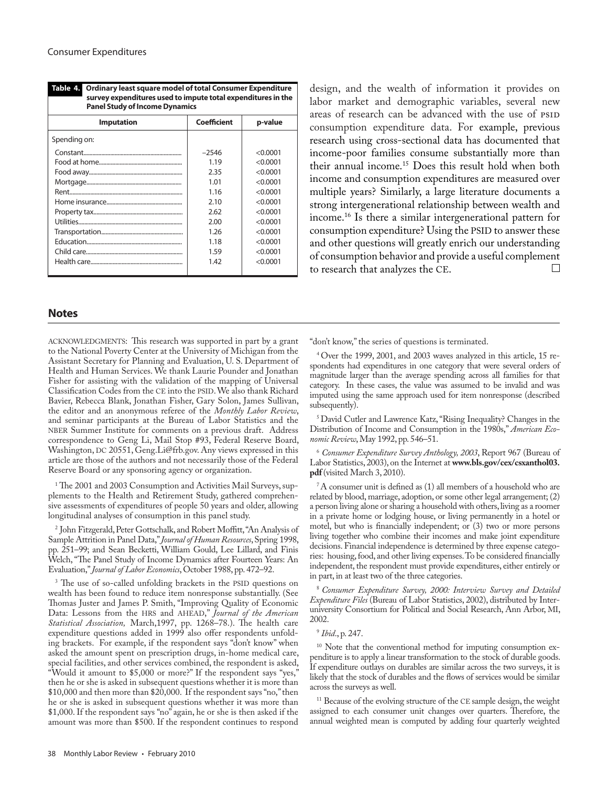**survey expenditures used to impute total expenditures in the Panel Study of Income Dynamics Imputation Coefficient p-value** Spending on: Constant.................................................................. –2546 <0.0001 Food at home........................................................ 1.19 <0.0001 Food away............................................................... 2.35 <0.0001 Mortgage................................................................ 1.01 <0.0001 Rent............................................................................ 1.16 <0.0001 Home insurance................................................... 2.10 <0.0001 Property tax............................................................ 2.62 <0.0001 Utilities...................................................................... 2.00 <0.0001 Transportation....................................................... 1.26 <0.0001 Education................................................................ 1.18 <0.0001 Child care................................................................. 1.59 <0.0001 Health care.............................................................. 1.42 <0.0001

**Table 4. Ordinary least square model of total Consumer Expenditure**

**Notes**

ACKNOWLEDGMENTS: This research was supported in part by a grant to the National Poverty Center at the University of Michigan from the Assistant Secretary for Planning and Evaluation, U. S. Department of Health and Human Services. We thank Laurie Pounder and Jonathan Fisher for assisting with the validation of the mapping of Universal Classification Codes from the CE into the PSID. We also thank Richard Bavier, Rebecca Blank, Jonathan Fisher, Gary Solon, James Sullivan, the editor and an anonymous referee of the *Monthly Labor Review*, and seminar participants at the Bureau of Labor Statistics and the NBER Summer Institute for comments on a previous draft. Address correspondence to Geng Li, Mail Stop #93, Federal Reserve Board, Washington, DC 20551, Geng.Li@frb.gov. Any views expressed in this article are those of the authors and not necessarily those of the Federal Reserve Board or any sponsoring agency or organization.

<sup>1</sup> The 2001 and 2003 Consumption and Activities Mail Surveys, supplements to the Health and Retirement Study, gathered comprehensive assessments of expenditures of people 50 years and older, allowing longitudinal analyses of consumption in this panel study.

2 John Fitzgerald, Peter Gottschalk, and Robert Moffitt, "An Analysis of Sample Attrition in Panel Data," *Journal of Human Resources*, Spring 1998, pp. 251–99; and Sean Becketti, William Gould, Lee Lillard, and Finis Welch, "The Panel Study of Income Dynamics after Fourteen Years: An Evaluation," *Journal of Labor Economics*, October 1988, pp. 472–92.

<sup>3</sup> The use of so-called unfolding brackets in the PSID questions on wealth has been found to reduce item nonresponse substantially. (See Thomas Juster and James P. Smith, "Improving Quality of Economic Data: Lessons from the HRS and AHEAD," *Journal of the American Statistical Association,* March,1997, pp. 1268–78.). The health care expenditure questions added in 1999 also offer respondents unfolding brackets. For example, if the respondent says "don't know" when asked the amount spent on prescription drugs, in-home medical care, special facilities, and other services combined, the respondent is asked, "Would it amount to \$5,000 or more?" If the respondent says "yes," then he or she is asked in subsequent questions whether it is more than \$10,000 and then more than \$20,000. If the respondent says "no," then he or she is asked in subsequent questions whether it was more than \$1,000. If the respondent says "no" again, he or she is then asked if the amount was more than \$500. If the respondent continues to respond

design, and the wealth of information it provides on labor market and demographic variables, several new areas of research can be advanced with the use of PSID consumption expenditure data. For example, previous research using cross-sectional data has documented that income-poor families consume substantially more than their annual income.15 Does this result hold when both income and consumption expenditures are measured over multiple years? Similarly, a large literature documents a strong intergenerational relationship between wealth and income.16 Is there a similar intergenerational pattern for consumption expenditure? Using the PSID to answer these and other questions will greatly enrich our understanding of consumption behavior and provide a useful complement to research that analyzes the CE.  $\Box$ 

"don't know," the series of questions is terminated.

4 Over the 1999, 2001, and 2003 waves analyzed in this article, 15 respondents had expenditures in one category that were several orders of magnitude larger than the average spending across all families for that category. In these cases, the value was assumed to be invalid and was imputed using the same approach used for item nonresponse (described subsequently).

5 David Cutler and Lawrence Katz, "Rising Inequality? Changes in the Distribution of Income and Consumption in the 1980s," *American Economic Review*, May 1992, pp. 546–51.

<sup>6</sup> *Consumer Expenditure Survey Anthology, 2003*, Report 967 (Bureau of Labor Statistics, 2003), on the Internet at **www.bls.gov/cex/csxanthol03. pdf** (visited March 3, 2010).

 $7A$  consumer unit is defined as (1) all members of a household who are related by blood, marriage, adoption, or some other legal arrangement; (2) a person living alone or sharing a household with others, living as a roomer in a private home or lodging house, or living permanently in a hotel or motel, but who is financially independent; or (3) two or more persons living together who combine their incomes and make joint expenditure decisions. Financial independence is determined by three expense categories: housing, food, and other living expenses. To be considered financially independent, the respondent must provide expenditures, either entirely or in part, in at least two of the three categories.

<sup>8</sup>*Consumer Expenditure Survey, 2000: Interview Survey and Detailed Expenditure Files* (Bureau of Labor Statistics, 2002), distributed by Interuniversity Consortium for Political and Social Research, Ann Arbor, MI, 2002.

## <sup>9</sup> *Ibid*., p. 247.

<sup>10</sup> Note that the conventional method for imputing consumption expenditure is to apply a linear transformation to the stock of durable goods. If expenditure outlays on durables are similar across the two surveys, it is likely that the stock of durables and the flows of services would be similar across the surveys as well.

<sup>11</sup> Because of the evolving structure of the CE sample design, the weight assigned to each consumer unit changes over quarters. Therefore, the annual weighted mean is computed by adding four quarterly weighted